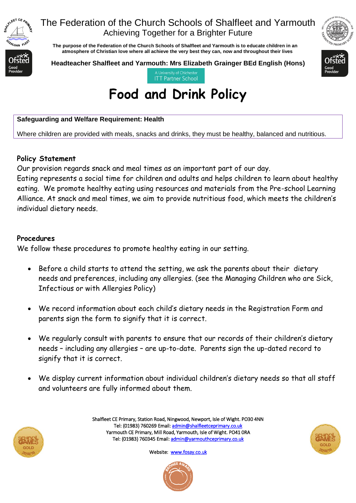

 **The purpose of the Federation of the Church Schools of Shalfleet and Yarmouth is to educate children in an atmosphere of Christian love where all achieve the very best they can, now and throughout their lives** 



**Headteacher Shalfleet and Yarmouth: Mrs Elizabeth Grainger BEd English (Hons)**



**ITT Partner School** 

# **Food and Drink Policy**

#### **Safeguarding and Welfare Requirement: Health**

Where children are provided with meals, snacks and drinks, they must be healthy, balanced and nutritious.

#### **Policy Statement**

Our provision regards snack and meal times as an important part of our day.

Eating represents a social time for children and adults and helps children to learn about healthy eating. We promote healthy eating using resources and materials from the Pre-school Learning Alliance. At snack and meal times, we aim to provide nutritious food, which meets the children's individual dietary needs.

### **Procedures**

We follow these procedures to promote healthy eating in our setting.

- Before a child starts to attend the setting, we ask the parents about their dietary needs and preferences, including any allergies. (see the Managing Children who are Sick, Infectious or with Allergies Policy)
- We record information about each child's dietary needs in the Registration Form and parents sign the form to signify that it is correct.
- We regularly consult with parents to ensure that our records of their children's dietary needs – including any allergies – are up-to-date. Parents sign the up-dated record to signify that it is correct.
- We display current information about individual children's dietary needs so that all staff and volunteers are fully informed about them.



Shalfleet CE Primary, Station Road, Ningwood, Newport, Isle of Wight. PO30 4NN Tel: (01983) 760269 Email[: admin@shalfleetceprimary.co.uk](mailto:admin@shalfleetceprimary.co.uk)  Yarmouth CE Primary, Mill Road, Yarmouth, Isle of Wight. PO41 0RA Tel: (01983) 760345 Email: admin@yarmouthceprimary.co.uk



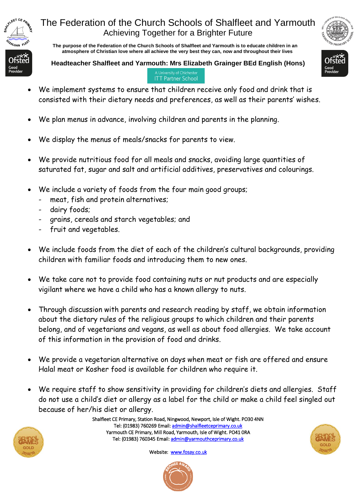

 **The purpose of the Federation of the Church Schools of Shalfleet and Yarmouth is to educate children in an atmosphere of Christian love where all achieve the very best they can, now and throughout their lives** 

**Headteacher Shalfleet and Yarmouth: Mrs Elizabeth Grainger BEd English (Hons)**



**ITT Partner School** 

- We implement systems to ensure that children receive only food and drink that is consisted with their dietary needs and preferences, as well as their parents' wishes.
- We plan menus in advance, involving children and parents in the planning.
- We display the menus of meals/snacks for parents to view.
- We provide nutritious food for all meals and snacks, avoiding large quantities of saturated fat, sugar and salt and artificial additives, preservatives and colourings.
- We include a variety of foods from the four main good groups;
	- meat, fish and protein alternatives;
	- dairy foods;
	- grains, cereals and starch vegetables; and
	- fruit and vegetables.
- We include foods from the diet of each of the children's cultural backgrounds, providing children with familiar foods and introducing them to new ones.
- We take care not to provide food containing nuts or nut products and are especially vigilant where we have a child who has a known allergy to nuts.
- Through discussion with parents and research reading by staff, we obtain information about the dietary rules of the religious groups to which children and their parents belong, and of vegetarians and vegans, as well as about food allergies. We take account of this information in the provision of food and drinks.
- We provide a vegetarian alternative on days when meat or fish are offered and ensure Halal meat or Kosher food is available for children who require it.
- We require staff to show sensitivity in providing for children's diets and allergies. Staff do not use a child's diet or allergy as a label for the child or make a child feel singled out because of her/his diet or allergy.



Shalfleet CE Primary, Station Road, Ningwood, Newport, Isle of Wight. PO30 4NN Tel: (01983) 760269 Email[: admin@shalfleetceprimary.co.uk](mailto:admin@shalfleetceprimary.co.uk)  Yarmouth CE Primary, Mill Road, Yarmouth, Isle of Wight. PO41 0RA Tel: (01983) 760345 Email: admin@yarmouthceprimary.co.uk



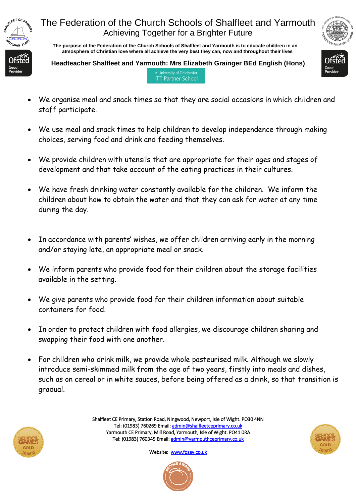

 **The purpose of the Federation of the Church Schools of Shalfleet and Yarmouth is to educate children in an atmosphere of Christian love where all achieve the very best they can, now and throughout their lives** 

**Headteacher Shalfleet and Yarmouth: Mrs Elizabeth Grainger BEd English (Hons)**



- A University of Chicheste **ITT Partner School**
- We organise meal and snack times so that they are social occasions in which children and staff participate.
- We use meal and snack times to help children to develop independence through making choices, serving food and drink and feeding themselves.
- We provide children with utensils that are appropriate for their ages and stages of development and that take account of the eating practices in their cultures.
- We have fresh drinking water constantly available for the children. We inform the children about how to obtain the water and that they can ask for water at any time during the day.
- In accordance with parents' wishes, we offer children arriving early in the morning and/or staying late, an appropriate meal or snack.
- We inform parents who provide food for their children about the storage facilities available in the setting.
- We give parents who provide food for their children information about suitable containers for food.
- In order to protect children with food allergies, we discourage children sharing and swapping their food with one another.
- For children who drink milk, we provide whole pasteurised milk. Although we slowly introduce semi-skimmed milk from the age of two years, firstly into meals and dishes, such as on cereal or in white sauces, before being offered as a drink, so that transition is gradual.



Shalfleet CE Primary, Station Road, Ningwood, Newport, Isle of Wight. PO30 4NN Tel: (01983) 760269 Email[: admin@shalfleetceprimary.co.uk](mailto:admin@shalfleetceprimary.co.uk)  Yarmouth CE Primary, Mill Road, Yarmouth, Isle of Wight. PO41 0RA Tel: (01983) 760345 Email: admin@yarmouthceprimary.co.uk



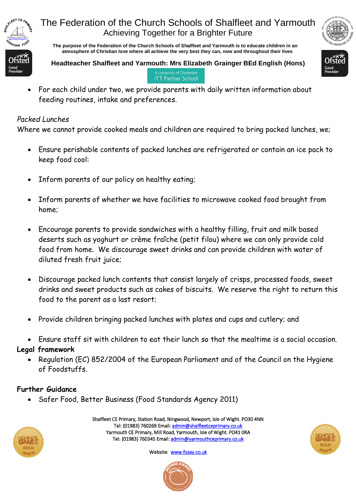

 **The purpose of the Federation of the Church Schools of Shalfleet and Yarmouth is to educate children in an atmosphere of Christian love where all achieve the very best they can, now and throughout their lives** 

**Headteacher Shalfleet and Yarmouth: Mrs Elizabeth Grainger BEd English (Hons)**



**ITT Partner School** 

• For each child under two, we provide parents with daily written information about feeding routines, intake and preferences.

### *Packed Lunches*

Where we cannot provide cooked meals and children are required to bring packed lunches, we;

- Ensure perishable contents of packed lunches are refrigerated or contain an ice pack to keep food cool:
- Inform parents of our policy on healthy eating;
- Inform parents of whether we have facilities to microwave cooked food brought from home;
- Encourage parents to provide sandwiches with a healthy filling, fruit and milk based deserts such as yoghurt or crème fraîche (petit filou) where we can only provide cold food from home. We discourage sweet drinks and can provide children with water of diluted fresh fruit juice;
- Discourage packed lunch contents that consist largely of crisps, processed foods, sweet drinks and sweet products such as cakes of biscuits. We reserve the right to return this food to the parent as a last resort;
- Provide children bringing packed lunches with plates and cups and cutlery; and
- Ensure staff sit with children to eat their lunch so that the mealtime is a social occasion.

### **Legal framework**

• Regulation (EC) 852/2004 of the European Parliament and of the Council on the Hygiene of Foodstuffs.

#### **Further Guidance**

• Safer Food, Better Business (Food Standards Agency 2011)



Shalfleet CE Primary, Station Road, Ningwood, Newport, Isle of Wight. PO30 4NN Tel: (01983) 760269 Email[: admin@shalfleetceprimary.co.uk](mailto:admin@shalfleetceprimary.co.uk)  Yarmouth CE Primary, Mill Road, Yarmouth, Isle of Wight. PO41 0RA Tel: (01983) 760345 Email: admin@yarmouthceprimary.co.uk